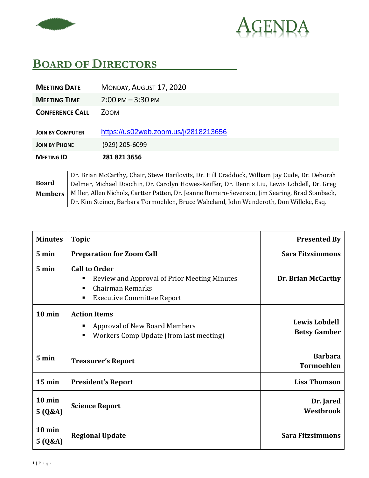



## **BOARD OF DIRECTORS**

| MONDAY, AUGUST 17, 2020              |
|--------------------------------------|
| $2:00 \text{ PM} - 3:30 \text{ PM}$  |
| <b>ZOOM</b>                          |
| https://us02web.zoom.us/j/2818213656 |
| $(929)$ 205-6099                     |
| 281 821 3656                         |
|                                      |

## **Board Members**

Dr. Brian McCarthy**,** Chair, Steve Barilovits, Dr. Hill Craddock, William Jay Cude, Dr. Deborah Delmer, Michael Doochin, Dr. Carolyn Howes-Keiffer, Dr. Dennis Liu, Lewis Lobdell, Dr. Greg Miller, Allen Nichols, Cartter Patten, Dr. Jeanne Romero-Severson, Jim Searing, Brad Stanback, Dr. Kim Steiner, Barbara Tormoehlen, Bruce Wakeland, John Wenderoth, Don Willeke, Esq.

| <b>Minutes</b>      | <b>Topic</b>                                                                                                                                 | <b>Presented By</b>                         |
|---------------------|----------------------------------------------------------------------------------------------------------------------------------------------|---------------------------------------------|
| 5 min               | <b>Preparation for Zoom Call</b>                                                                                                             | <b>Sara Fitzsimmons</b>                     |
| 5 min               | <b>Call to Order</b><br>Review and Approval of Prior Meeting Minutes<br>п<br>Chairman Remarks<br>٠<br><b>Executive Committee Report</b><br>٠ | Dr. Brian McCarthy                          |
| $10$ min            | <b>Action Items</b><br><b>Approval of New Board Members</b><br>п<br>Workers Comp Update (from last meeting)<br>٠                             | <b>Lewis Lobdell</b><br><b>Betsy Gamber</b> |
| 5 min               | <b>Treasurer's Report</b>                                                                                                                    | <b>Barbara</b><br><b>Tormoehlen</b>         |
| $15$ min            | <b>President's Report</b>                                                                                                                    | <b>Lisa Thomson</b>                         |
| $10$ min<br>5(Q&A)  | <b>Science Report</b>                                                                                                                        | Dr. Jared<br>Westbrook                      |
| $10$ min<br>5 (Q&A) | <b>Regional Update</b>                                                                                                                       | <b>Sara Fitzsimmons</b>                     |